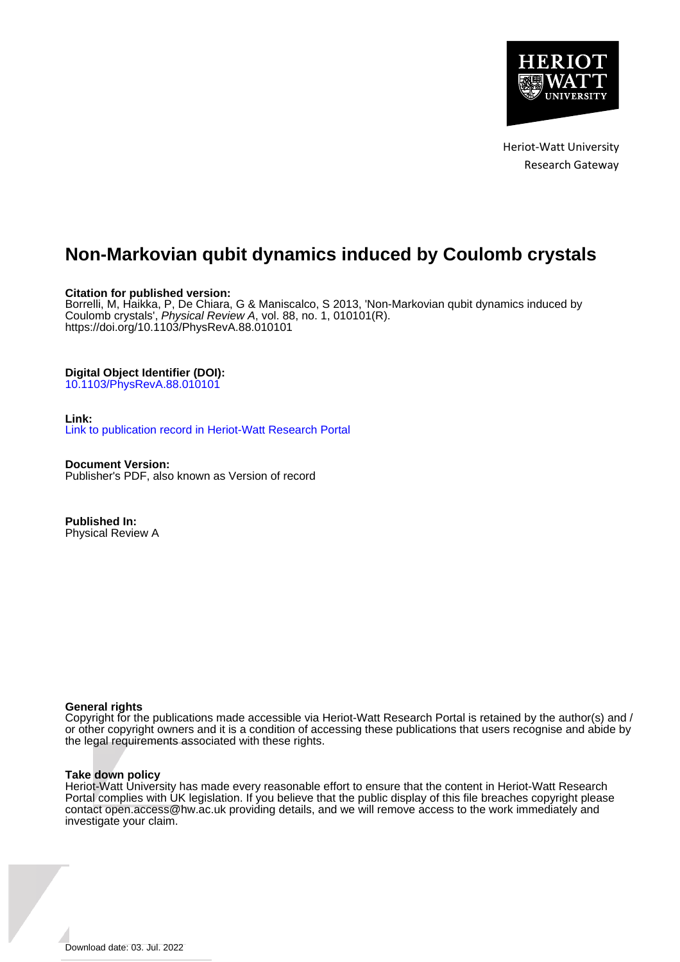

Heriot-Watt University Research Gateway

# **Non-Markovian qubit dynamics induced by Coulomb crystals**

### **Citation for published version:**

Borrelli, M, Haikka, P, De Chiara, G & Maniscalco, S 2013, 'Non-Markovian qubit dynamics induced by Coulomb crystals', Physical Review A, vol. 88, no. 1, 010101(R). <https://doi.org/10.1103/PhysRevA.88.010101>

## **Digital Object Identifier (DOI):**

[10.1103/PhysRevA.88.010101](https://doi.org/10.1103/PhysRevA.88.010101)

### **Link:**

[Link to publication record in Heriot-Watt Research Portal](https://researchportal.hw.ac.uk/en/publications/2344145a-6c1b-4487-936e-7b707d239def)

**Document Version:** Publisher's PDF, also known as Version of record

**Published In:** Physical Review A

### **General rights**

Copyright for the publications made accessible via Heriot-Watt Research Portal is retained by the author(s) and / or other copyright owners and it is a condition of accessing these publications that users recognise and abide by the legal requirements associated with these rights.

### **Take down policy**

Heriot-Watt University has made every reasonable effort to ensure that the content in Heriot-Watt Research Portal complies with UK legislation. If you believe that the public display of this file breaches copyright please contact open.access@hw.ac.uk providing details, and we will remove access to the work immediately and investigate your claim.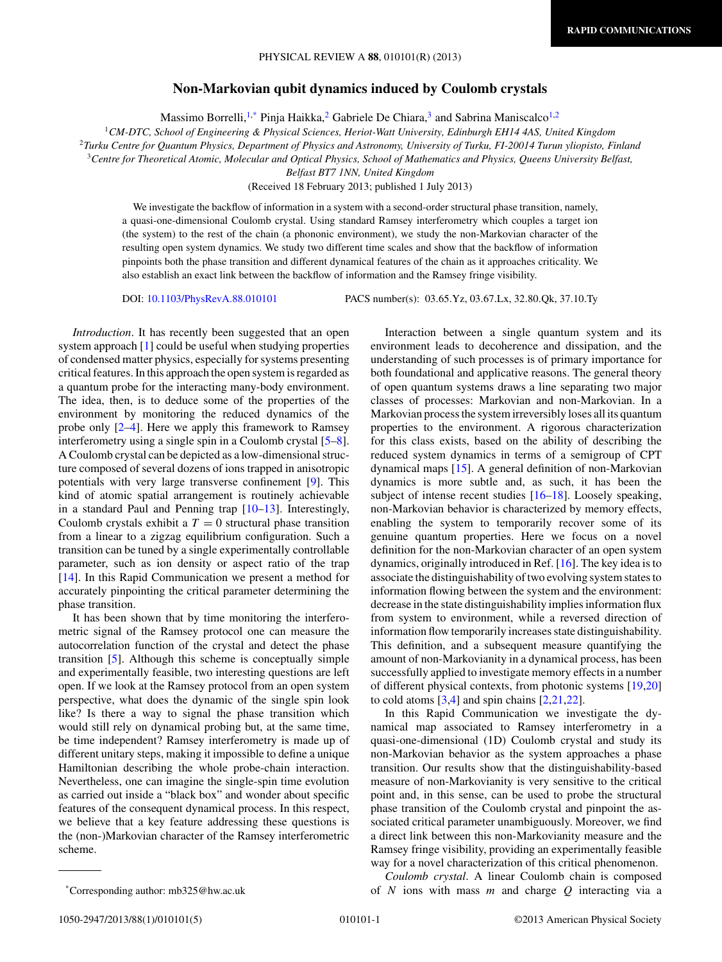#### **Non-Markovian qubit dynamics induced by Coulomb crystals**

Massimo Borrelli,<sup>1,\*</sup> Pinja Haikka,<sup>2</sup> Gabriele De Chiara,<sup>3</sup> and Sabrina Maniscalco<sup>1,2</sup>

<sup>1</sup>*CM-DTC, School of Engineering & Physical Sciences, Heriot-Watt University, Edinburgh EH14 4AS, United Kingdom*

<sup>2</sup>*Turku Centre for Quantum Physics, Department of Physics and Astronomy, University of Turku, FI-20014 Turun yliopisto, Finland*

<sup>3</sup>*Centre for Theoretical Atomic, Molecular and Optical Physics, School of Mathematics and Physics, Queens University Belfast,*

*Belfast BT7 1NN, United Kingdom*

(Received 18 February 2013; published 1 July 2013)

We investigate the backflow of information in a system with a second-order structural phase transition, namely, a quasi-one-dimensional Coulomb crystal. Using standard Ramsey interferometry which couples a target ion (the system) to the rest of the chain (a phononic environment), we study the non-Markovian character of the resulting open system dynamics. We study two different time scales and show that the backflow of information pinpoints both the phase transition and different dynamical features of the chain as it approaches criticality. We also establish an exact link between the backflow of information and the Ramsey fringe visibility.

DOI: [10.1103/PhysRevA.88.010101](http://dx.doi.org/10.1103/PhysRevA.88.010101) PACS number(s): 03*.*65*.*Yz, 03*.*67*.*Lx, 32*.*80*.*Qk, 37*.*10*.*Ty

*Introduction*. It has recently been suggested that an open system approach [\[1\]](#page-4-0) could be useful when studying properties of condensed matter physics, especially for systems presenting critical features. In this approach the open system is regarded as a quantum probe for the interacting many-body environment. The idea, then, is to deduce some of the properties of the environment by monitoring the reduced dynamics of the probe only [\[2–4\]](#page-4-0). Here we apply this framework to Ramsey interferometry using a single spin in a Coulomb crystal [\[5–8\]](#page-4-0). A Coulomb crystal can be depicted as a low-dimensional structure composed of several dozens of ions trapped in anisotropic potentials with very large transverse confinement [\[9\]](#page-5-0). This kind of atomic spatial arrangement is routinely achievable in a standard Paul and Penning trap [\[10–13\]](#page-5-0). Interestingly, Coulomb crystals exhibit a  $T = 0$  structural phase transition from a linear to a zigzag equilibrium configuration. Such a transition can be tuned by a single experimentally controllable parameter, such as ion density or aspect ratio of the trap [\[14\]](#page-5-0). In this Rapid Communication we present a method for accurately pinpointing the critical parameter determining the phase transition.

It has been shown that by time monitoring the interferometric signal of the Ramsey protocol one can measure the autocorrelation function of the crystal and detect the phase transition [\[5\]](#page-4-0). Although this scheme is conceptually simple and experimentally feasible, two interesting questions are left open. If we look at the Ramsey protocol from an open system perspective, what does the dynamic of the single spin look like? Is there a way to signal the phase transition which would still rely on dynamical probing but, at the same time, be time independent? Ramsey interferometry is made up of different unitary steps, making it impossible to define a unique Hamiltonian describing the whole probe-chain interaction. Nevertheless, one can imagine the single-spin time evolution as carried out inside a "black box" and wonder about specific features of the consequent dynamical process. In this respect, we believe that a key feature addressing these questions is the (non-)Markovian character of the Ramsey interferometric scheme.

environment leads to decoherence and dissipation, and the understanding of such processes is of primary importance for both foundational and applicative reasons. The general theory of open quantum systems draws a line separating two major classes of processes: Markovian and non-Markovian. In a Markovian process the system irreversibly loses all its quantum properties to the environment. A rigorous characterization for this class exists, based on the ability of describing the reduced system dynamics in terms of a semigroup of CPT dynamical maps [\[15\]](#page-5-0). A general definition of non-Markovian dynamics is more subtle and, as such, it has been the subject of intense recent studies [\[16–18\]](#page-5-0). Loosely speaking, non-Markovian behavior is characterized by memory effects, enabling the system to temporarily recover some of its genuine quantum properties. Here we focus on a novel definition for the non-Markovian character of an open system dynamics, originally introduced in Ref. [\[16\]](#page-5-0). The key idea is to associate the distinguishability of two evolving system states to information flowing between the system and the environment: decrease in the state distinguishability implies information flux from system to environment, while a reversed direction of information flow temporarily increases state distinguishability. This definition, and a subsequent measure quantifying the amount of non-Markovianity in a dynamical process, has been successfully applied to investigate memory effects in a number of different physical contexts, from photonic systems [\[19,20\]](#page-5-0) to cold atoms  $[3,4]$  and spin chains  $[2,21,22]$  $[2,21,22]$ .

Interaction between a single quantum system and its

In this Rapid Communication we investigate the dynamical map associated to Ramsey interferometry in a quasi-one-dimensional (1D) Coulomb crystal and study its non-Markovian behavior as the system approaches a phase transition. Our results show that the distinguishability-based measure of non-Markovianity is very sensitive to the critical point and, in this sense, can be used to probe the structural phase transition of the Coulomb crystal and pinpoint the associated critical parameter unambiguously. Moreover, we find a direct link between this non-Markovianity measure and the Ramsey fringe visibility, providing an experimentally feasible way for a novel characterization of this critical phenomenon.

*Coulomb crystal*. A linear Coulomb chain is composed of *N* ions with mass *m* and charge *Q* interacting via a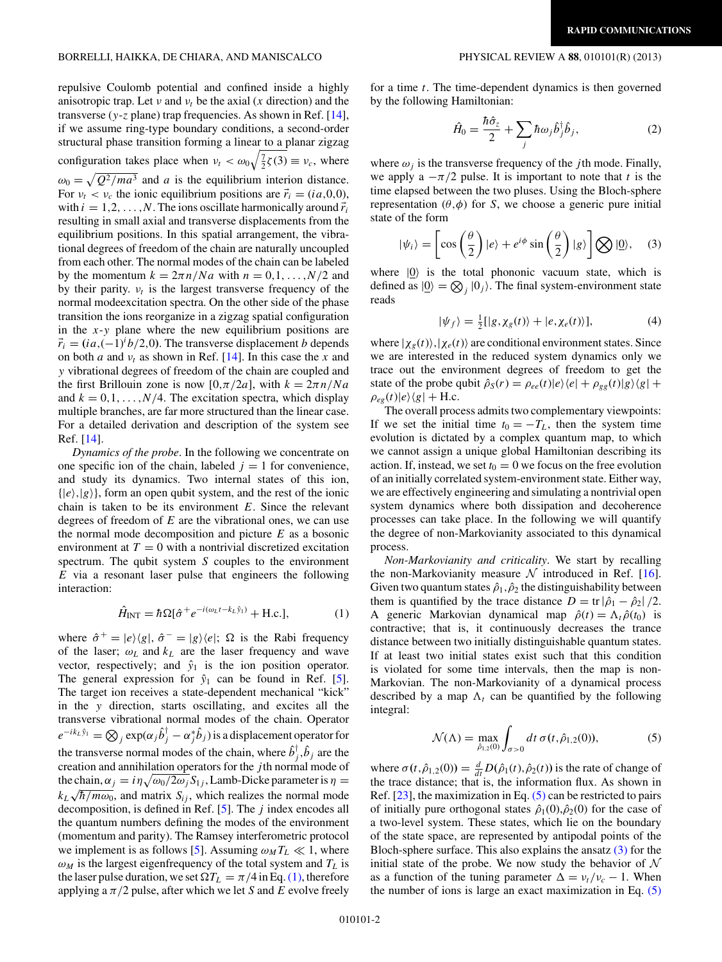<span id="page-2-0"></span>repulsive Coulomb potential and confined inside a highly anisotropic trap. Let *ν* and  $v_t$  be the axial (*x* direction) and the transverse (*y*-*z* plane) trap frequencies. As shown in Ref. [\[14\]](#page-5-0), if we assume ring-type boundary conditions, a second-order structural phase transition forming a linear to a planar zigzag configuration takes place when  $v_t < \omega_0 \sqrt{\frac{7}{2} \zeta(3)} \equiv v_c$ , where  $\omega_0 = \sqrt{Q^2/m a^3}$  and *a* is the equilibrium interion distance. For  $v_t < v_c$  the ionic equilibrium positions are  $\vec{r}_i = (i a, 0, 0),$ with  $i = 1, 2, \ldots, N$ . The ions oscillate harmonically around  $\vec{r}_i$ resulting in small axial and transverse displacements from the equilibrium positions. In this spatial arrangement, the vibrational degrees of freedom of the chain are naturally uncoupled from each other. The normal modes of the chain can be labeled by the momentum  $k = 2\pi n/Na$  with  $n = 0, 1, \ldots, N/2$  and by their parity.  $v_t$  is the largest transverse frequency of the normal modeexcitation spectra. On the other side of the phase transition the ions reorganize in a zigzag spatial configuration in the *x*-*y* plane where the new equilibrium positions are  $\vec{r}_i = (ia, (-1)^i b/2, 0)$ . The transverse displacement *b* depends on both *a* and  $v_t$  as shown in Ref. [\[14\]](#page-5-0). In this case the *x* and *y* vibrational degrees of freedom of the chain are coupled and the first Brillouin zone is now  $[0, \pi/2a]$ , with  $k = 2\pi n/Na$ and  $k = 0, 1, \ldots, N/4$ . The excitation spectra, which display multiple branches, are far more structured than the linear case. For a detailed derivation and description of the system see Ref. [\[14\]](#page-5-0).

*Dynamics of the probe*. In the following we concentrate on one specific ion of the chain, labeled  $j = 1$  for convenience, and study its dynamics. Two internal states of this ion,  $\{|e\rangle, |g\rangle\}$ , form an open qubit system, and the rest of the ionic chain is taken to be its environment *E*. Since the relevant degrees of freedom of *E* are the vibrational ones, we can use the normal mode decomposition and picture *E* as a bosonic environment at  $T = 0$  with a nontrivial discretized excitation spectrum. The qubit system *S* couples to the environment *E* via a resonant laser pulse that engineers the following interaction:

$$
\hat{H}_{\text{INT}} = \hbar \Omega [\hat{\sigma}^+ e^{-i(\omega_L t - k_L \hat{y}_1)} + \text{H.c.}],\tag{1}
$$

where  $\hat{\sigma}^+ = |e\rangle\langle g|$ ,  $\hat{\sigma}^- = |g\rangle\langle e|$ ;  $\Omega$  is the Rabi frequency of the laser;  $\omega_L$  and  $k_L$  are the laser frequency and wave vector, respectively; and  $\hat{y}_1$  is the ion position operator. The general expression for  $\hat{y}_1$  can be found in Ref. [\[5\]](#page-4-0). The target ion receives a state-dependent mechanical "kick" in the *y* direction, starts oscillating, and excites all the transverse vibrational normal modes of the chain. Operator  $e^{-ik_L\hat{y}_1} = \bigotimes_j \exp(\alpha_j \hat{b}_j^\dagger - \alpha_j^* \hat{b}_j)$  is a displacement operator for the transverse normal modes of the chain, where  $\hat{b}^{\dagger}_{j}, \hat{b}_{j}$  are the creation and annihilation operators for the *j* th normal mode of the chain,  $\alpha_j = i\eta \sqrt{\omega_0/2\omega_j S_{1j}}$ , Lamb-Dicke parameter is  $\eta =$  $k_L \sqrt{\hbar/m\omega_0}$ , and matrix  $S_{ij}$ , which realizes the normal mode decomposition, is defined in Ref. [\[5\]](#page-4-0). The *j* index encodes all the quantum numbers defining the modes of the environment (momentum and parity). The Ramsey interferometric protocol we implement is as follows [\[5\]](#page-4-0). Assuming  $\omega_M T_L \ll 1$ , where  $\omega_M$  is the largest eigenfrequency of the total system and  $T_L$  is the laser pulse duration, we set  $\Omega T_L = \pi/4$  in Eq. (1), therefore applying a  $\pi/2$  pulse, after which we let *S* and *E* evolve freely

for a time *t*. The time-dependent dynamics is then governed by the following Hamiltonian:

$$
\hat{H}_0 = \frac{\hbar \hat{\sigma}_z}{2} + \sum_j \hbar \omega_j \hat{b}_j^{\dagger} \hat{b}_j, \tag{2}
$$

where  $\omega_i$  is the transverse frequency of the *j*th mode. Finally, we apply a  $-\pi/2$  pulse. It is important to note that *t* is the time elapsed between the two pluses. Using the Bloch-sphere representation  $(\theta, \phi)$  for *S*, we choose a generic pure initial state of the form

$$
|\psi_i\rangle = \left[\cos\left(\frac{\theta}{2}\right)|e\rangle + e^{i\phi}\sin\left(\frac{\theta}{2}\right)|g\rangle\right] \bigotimes |\underline{0}\rangle, \quad (3)
$$

where  $|0\rangle$  is the total phononic vacuum state, which is defined as  $|0\rangle = \bigotimes_j |0_j\rangle$ . The final system-environment state reads

$$
|\psi_f\rangle = \frac{1}{2} [|g, \chi_g(t)\rangle + |e, \chi_e(t)\rangle],\tag{4}
$$

where  $|\chi_{g}(t)\rangle$ ,  $|\chi_{e}(t)\rangle$  are conditional environment states. Since we are interested in the reduced system dynamics only we trace out the environment degrees of freedom to get the state of the probe qubit  $\hat{\rho}_S(r) = \rho_{ee}(t)|e\rangle\langle e| + \rho_{gg}(t)|g\rangle\langle g| +$  $\rho_{eg}(t)|e\rangle\langle g| + \text{H.c.}$ 

The overall process admits two complementary viewpoints: If we set the initial time  $t_0 = -T_L$ , then the system time evolution is dictated by a complex quantum map, to which we cannot assign a unique global Hamiltonian describing its action. If, instead, we set  $t_0 = 0$  we focus on the free evolution of an initially correlated system-environment state. Either way, we are effectively engineering and simulating a nontrivial open system dynamics where both dissipation and decoherence processes can take place. In the following we will quantify the degree of non-Markovianity associated to this dynamical process.

*Non-Markovianity and criticality*. We start by recalling the non-Markovianity measure  $N$  introduced in Ref. [\[16\]](#page-5-0). Given two quantum states  $\hat{\rho}_1$ ,  $\hat{\rho}_2$  the distinguishability between them is quantified by the trace distance  $D = \text{tr} |\hat{\rho}_1 - \hat{\rho}_2|/2$ . A generic Markovian dynamical map  $\hat{\rho}(t) = \Lambda_t \hat{\rho}(t_0)$  is contractive; that is, it continuously decreases the trance distance between two initially distinguishable quantum states. If at least two initial states exist such that this condition is violated for some time intervals, then the map is non-Markovian. The non-Markovianity of a dynamical process described by a map  $\Lambda_t$  can be quantified by the following integral:

$$
\mathcal{N}(\Lambda) = \max_{\hat{\rho}_{1,2}(0)} \int_{\sigma > 0} dt \, \sigma(t, \hat{\rho}_{1,2}(0)),
$$
 (5)

where  $\sigma(t, \hat{\rho}_{1,2}(0)) = \frac{d}{dt} D(\hat{\rho}_1(t), \hat{\rho}_2(t))$  is the rate of change of the trace distance; that is, the information flux. As shown in Ref.  $[23]$ , the maximization in Eq.  $(5)$  can be restricted to pairs of initially pure orthogonal states  $\hat{\rho}_1(0), \hat{\rho}_2(0)$  for the case of a two-level system. These states, which lie on the boundary of the state space, are represented by antipodal points of the Bloch-sphere surface. This also explains the ansatz  $(3)$  for the initial state of the probe. We now study the behavior of  $\mathcal N$ as a function of the tuning parameter  $\Delta = v_t/v_c - 1$ . When the number of ions is large an exact maximization in Eq. (5)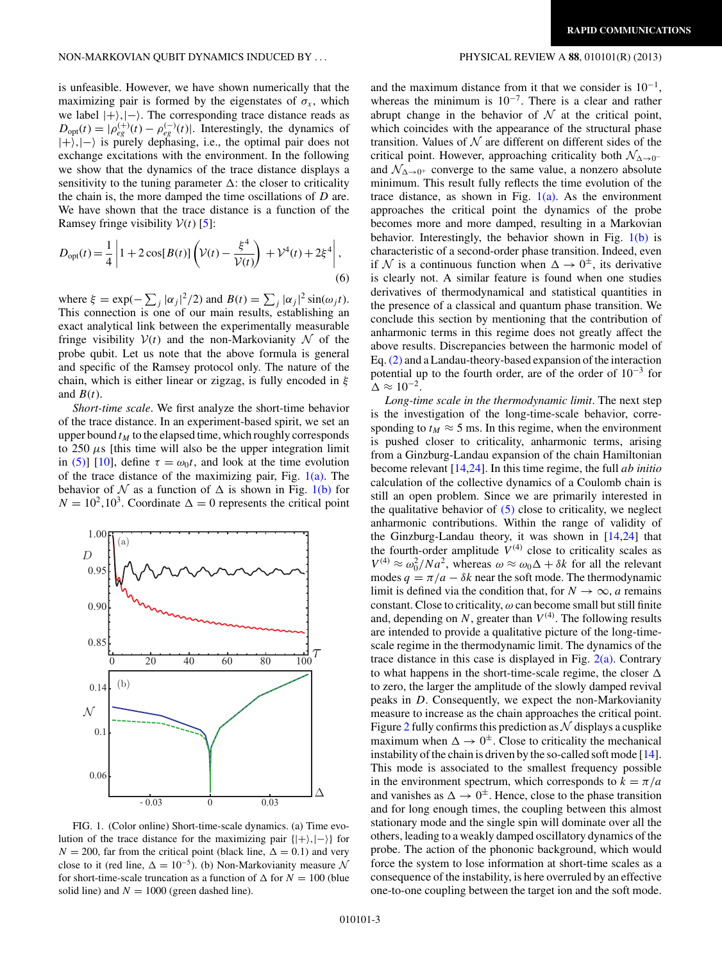<span id="page-3-0"></span>is unfeasible. However, we have shown numerically that the maximizing pair is formed by the eigenstates of  $\sigma_x$ , which we label  $|+\rangle$ , $|-\rangle$ . The corresponding trace distance reads as  $D_{\text{opt}}(t) = |\rho_{eg}^{(+)}(t) - \rho_{eg}^{(-)}(t)|$ . Interestingly, the dynamics of |+*,*|− is purely dephasing, i.e., the optimal pair does not exchange excitations with the environment. In the following we show that the dynamics of the trace distance displays a sensitivity to the tuning parameter  $\Delta$ : the closer to criticality the chain is, the more damped the time oscillations of *D* are. We have shown that the trace distance is a function of the Ramsey fringe visibility  $V(t)$  [\[5\]](#page-4-0):

$$
D_{\text{opt}}(t) = \frac{1}{4} \left| 1 + 2 \cos[B(t)] \left( \mathcal{V}(t) - \frac{\xi^4}{\mathcal{V}(t)} \right) + \mathcal{V}^4(t) + 2\xi^4 \right|,
$$
\n(6)

where  $\xi = \exp(-\sum_j |\alpha_j|^2/2)$  and  $B(t) = \sum_j |\alpha_j|^2 \sin(\omega_j t)$ . This connection is one of our main results, establishing an exact analytical link between the experimentally measurable fringe visibility  $V(t)$  and the non-Markovianity N of the probe qubit. Let us note that the above formula is general and specific of the Ramsey protocol only. The nature of the chain, which is either linear or zigzag, is fully encoded in *ξ* and  $B(t)$ .

*Short-time scale*. We first analyze the short-time behavior of the trace distance. In an experiment-based spirit, we set an upper bound  $t_M$  to the elapsed time, which roughly corresponds to  $250 \mu s$  [this time will also be the upper integration limit in [\(5\)\]](#page-2-0) [\[10\]](#page-5-0), define  $\tau = \omega_0 t$ , and look at the time evolution of the trace distance of the maximizing pair, Fig.  $1(a)$ . The behavior of N as a function of  $\Delta$  is shown in Fig. 1(b) for  $N = 10^2, 10^3$ . Coordinate  $\Delta = 0$  represents the critical point



FIG. 1. (Color online) Short-time-scale dynamics. (a) Time evolution of the trace distance for the maximizing pair {|+*,*|−} for  $N = 200$ , far from the critical point (black line,  $\Delta = 0.1$ ) and very close to it (red line,  $\Delta = 10^{-5}$ ). (b) Non-Markovianity measure N for short-time-scale truncation as a function of  $\Delta$  for  $N = 100$  (blue solid line) and  $N = 1000$  (green dashed line).

and the maximum distance from it that we consider is  $10^{-1}$ , whereas the minimum is 10<sup>−</sup>7. There is a clear and rather abrupt change in the behavior of  $N$  at the critical point, which coincides with the appearance of the structural phase transition. Values of  $N$  are different on different sides of the critical point. However, approaching criticality both  $\mathcal{N}_{\Delta\rightarrow 0^-}$ and  $\mathcal{N}_{\Delta \rightarrow 0^+}$  converge to the same value, a nonzero absolute minimum. This result fully reflects the time evolution of the trace distance, as shown in Fig.  $1(a)$ . As the environment approaches the critical point the dynamics of the probe becomes more and more damped, resulting in a Markovian behavior. Interestingly, the behavior shown in Fig.  $1(b)$  is characteristic of a second-order phase transition. Indeed, even if N is a continuous function when  $\Delta \rightarrow 0^{\pm}$ , its derivative is clearly not. A similar feature is found when one studies derivatives of thermodynamical and statistical quantities in the presence of a classical and quantum phase transition. We conclude this section by mentioning that the contribution of anharmonic terms in this regime does not greatly affect the above results. Discrepancies between the harmonic model of Eq.[\(2\)](#page-2-0) and a Landau-theory-based expansion of the interaction potential up to the fourth order, are of the order of  $10^{-3}$  for  $\Delta \approx 10^{-2}$ .

*Long-time scale in the thermodynamic limit*. The next step is the investigation of the long-time-scale behavior, corresponding to  $t_M \approx 5$  ms. In this regime, when the environment is pushed closer to criticality, anharmonic terms, arising from a Ginzburg-Landau expansion of the chain Hamiltonian become relevant [\[14,24\]](#page-5-0). In this time regime, the full *ab initio* calculation of the collective dynamics of a Coulomb chain is still an open problem. Since we are primarily interested in the qualitative behavior of  $(5)$  close to criticality, we neglect anharmonic contributions. Within the range of validity of the Ginzburg-Landau theory, it was shown in [\[14,24\]](#page-5-0) that the fourth-order amplitude  $V^{(4)}$  close to criticality scales as  $V^{(4)} \approx \omega_0^2 / N a^2$ , whereas  $\omega \approx \omega_0 \Delta + \delta k$  for all the relevant modes  $q = \pi/a - \delta k$  near the soft mode. The thermodynamic limit is defined via the condition that, for  $N \to \infty$ , *a* remains constant. Close to criticality, *ω* can become small but still finite and, depending on  $N$ , greater than  $V^{(4)}$ . The following results are intended to provide a qualitative picture of the long-timescale regime in the thermodynamic limit. The dynamics of the trace distance in this case is displayed in Fig.  $2(a)$ . Contrary to what happens in the short-time-scale regime, the closer  $\Delta$ to zero, the larger the amplitude of the slowly damped revival peaks in *D*. Consequently, we expect the non-Markovianity measure to increase as the chain approaches the critical point. Figure [2](#page-4-0) fully confirms this prediction as  $\mathcal N$  displays a cusplike maximum when  $\Delta \rightarrow 0^{\pm}$ . Close to criticality the mechanical instability of the chain is driven by the so-called soft mode [\[14\]](#page-5-0). This mode is associated to the smallest frequency possible in the environment spectrum, which corresponds to  $k = \pi/a$ and vanishes as  $\Delta \rightarrow 0^{\pm}$ . Hence, close to the phase transition and for long enough times, the coupling between this almost stationary mode and the single spin will dominate over all the others, leading to a weakly damped oscillatory dynamics of the probe. The action of the phononic background, which would force the system to lose information at short-time scales as a consequence of the instability, is here overruled by an effective one-to-one coupling between the target ion and the soft mode.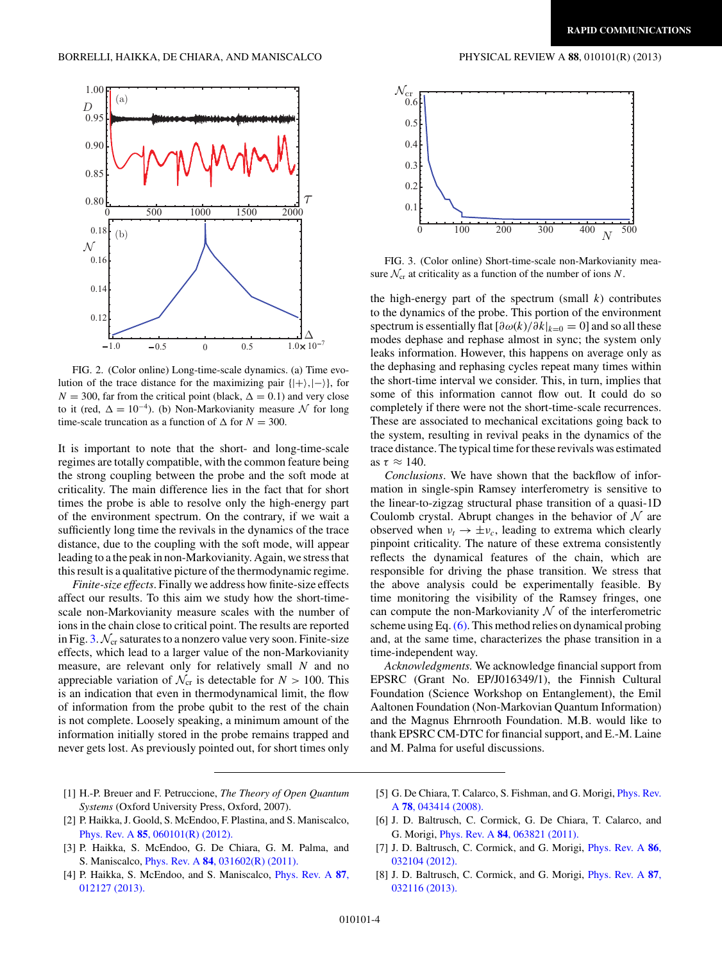<span id="page-4-0"></span>

FIG. 2. (Color online) Long-time-scale dynamics. (a) Time evolution of the trace distance for the maximizing pair  $\{|\rangle, |\rangle\}$ , for  $N = 300$ , far from the critical point (black,  $\Delta = 0.1$ ) and very close to it (red,  $\Delta = 10^{-4}$ ). (b) Non-Markovianity measure N for long time-scale truncation as a function of  $\Delta$  for  $N = 300$ .

It is important to note that the short- and long-time-scale regimes are totally compatible, with the common feature being the strong coupling between the probe and the soft mode at criticality. The main difference lies in the fact that for short times the probe is able to resolve only the high-energy part of the environment spectrum. On the contrary, if we wait a sufficiently long time the revivals in the dynamics of the trace distance, due to the coupling with the soft mode, will appear leading to a the peak in non-Markovianity. Again, we stress that this result is a qualitative picture of the thermodynamic regime.

*Finite-size effects*. Finally we address how finite-size effects affect our results. To this aim we study how the short-timescale non-Markovianity measure scales with the number of ions in the chain close to critical point. The results are reported in Fig. 3.  $\mathcal{N}_{cr}$  saturates to a nonzero value very soon. Finite-size effects, which lead to a larger value of the non-Markovianity measure, are relevant only for relatively small *N* and no appreciable variation of  $\mathcal{N}_{cr}$  is detectable for  $N > 100$ . This is an indication that even in thermodynamical limit, the flow of information from the probe qubit to the rest of the chain is not complete. Loosely speaking, a minimum amount of the information initially stored in the probe remains trapped and never gets lost. As previously pointed out, for short times only



FIG. 3. (Color online) Short-time-scale non-Markovianity measure  $\mathcal{N}_{cr}$  at criticality as a function of the number of ions  $N$ .

the high-energy part of the spectrum (small  $k$ ) contributes to the dynamics of the probe. This portion of the environment spectrum is essentially flat  $\left[\frac{\partial \omega(k)}{\partial k}\right]_{k=0} = 0$  and so all these modes dephase and rephase almost in sync; the system only leaks information. However, this happens on average only as the dephasing and rephasing cycles repeat many times within the short-time interval we consider. This, in turn, implies that some of this information cannot flow out. It could do so completely if there were not the short-time-scale recurrences. These are associated to mechanical excitations going back to the system, resulting in revival peaks in the dynamics of the trace distance. The typical time for these revivals was estimated as  $\tau \approx 140$ .

*Conclusions*. We have shown that the backflow of information in single-spin Ramsey interferometry is sensitive to the linear-to-zigzag structural phase transition of a quasi-1D Coulomb crystal. Abrupt changes in the behavior of  $\mathcal N$  are observed when  $v_t \rightarrow \pm v_c$ , leading to extrema which clearly pinpoint criticality. The nature of these extrema consistently reflects the dynamical features of the chain, which are responsible for driving the phase transition. We stress that the above analysis could be experimentally feasible. By time monitoring the visibility of the Ramsey fringes, one can compute the non-Markovianity  $N$  of the interferometric scheme using Eq.[\(6\).](#page-3-0) This method relies on dynamical probing and, at the same time, characterizes the phase transition in a time-independent way.

*Acknowledgments.* We acknowledge financial support from EPSRC (Grant No. EP/J016349/1), the Finnish Cultural Foundation (Science Workshop on Entanglement), the Emil Aaltonen Foundation (Non-Markovian Quantum Information) and the Magnus Ehrnrooth Foundation. M.B. would like to thank EPSRC CM-DTC for financial support, and E.-M. Laine and M. Palma for useful discussions.

- [1] H.-P. Breuer and F. Petruccione, *The Theory of Open Quantum Systems* (Oxford University Press, Oxford, 2007).
- [2] P. Haikka, J. Goold, S. McEndoo, F. Plastina, and S. Maniscalco, Phys. Rev. A **85**[, 060101\(R\) \(2012\).](http://dx.doi.org/10.1103/PhysRevA.85.060101)
- [3] P. Haikka, S. McEndoo, G. De Chiara, G. M. Palma, and S. Maniscalco, Phys. Rev. A **84**[, 031602\(R\) \(2011\).](http://dx.doi.org/10.1103/PhysRevA.84.031602)
- [4] P. Haikka, S. McEndoo, and S. Maniscalco, [Phys. Rev. A](http://dx.doi.org/10.1103/PhysRevA.87.012127) **87**, [012127 \(2013\).](http://dx.doi.org/10.1103/PhysRevA.87.012127)
- [5] G. De Chiara, T. Calarco, S. Fishman, and G. Morigi, *[Phys. Rev.](http://dx.doi.org/10.1103/PhysRevA.78.043414)* A **78**[, 043414 \(2008\).](http://dx.doi.org/10.1103/PhysRevA.78.043414)
- [6] J. D. Baltrusch, C. Cormick, G. De Chiara, T. Calarco, and G. Morigi, Phys. Rev. A **84**[, 063821 \(2011\).](http://dx.doi.org/10.1103/PhysRevA.84.063821)
- [7] J. D. Baltrusch, C. Cormick, and G. Morigi, [Phys. Rev. A](http://dx.doi.org/10.1103/PhysRevA.86.032104) **86**, [032104 \(2012\).](http://dx.doi.org/10.1103/PhysRevA.86.032104)
- [8] J. D. Baltrusch, C. Cormick, and G. Morigi, [Phys. Rev. A](http://dx.doi.org/10.1103/PhysRevA.87.032116) **87**, [032116 \(2013\).](http://dx.doi.org/10.1103/PhysRevA.87.032116)